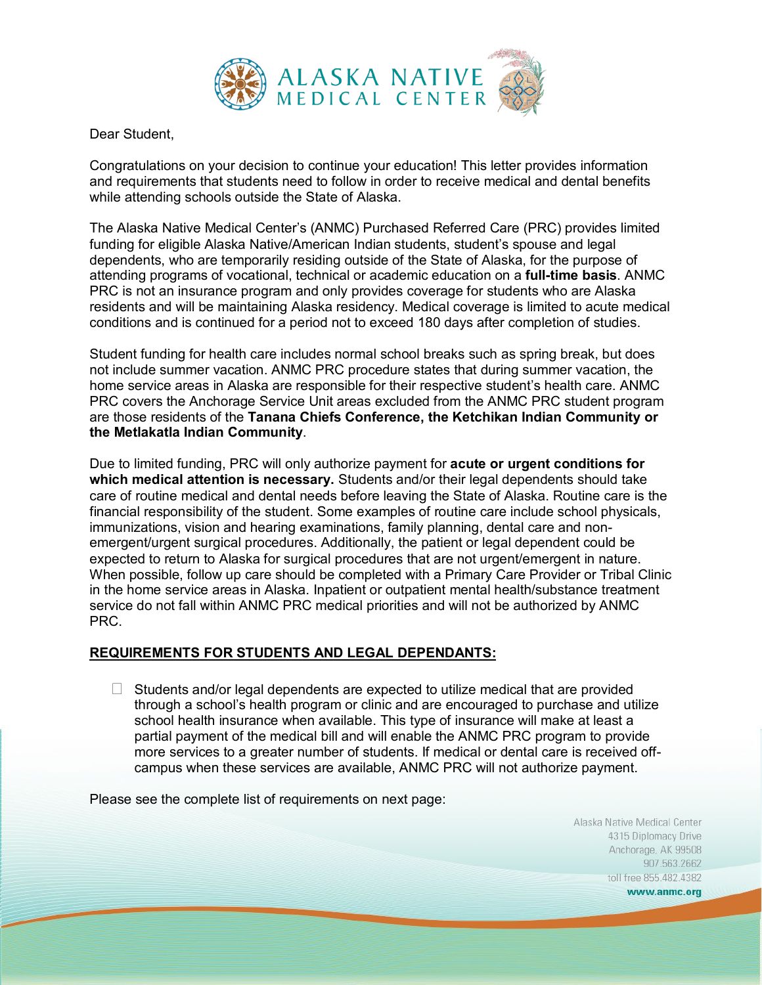

Dear Student,

Congratulations on your decision to continue your education! This letter provides information and requirements that students need to follow in order to receive medical and dental benefits while attending schools outside the State of Alaska.

The Alaska Native Medical Center's (ANMC) Purchased Referred Care (PRC) provides limited funding for eligible Alaska Native/American Indian students, student's spouse and legal dependents, who are temporarily residing outside of the State of Alaska, for the purpose of attending programs of vocational, technical or academic education on a **full-time basis**. ANMC PRC is not an insurance program and only provides coverage for students who are Alaska residents and will be maintaining Alaska residency. Medical coverage is limited to acute medical conditions and is continued for a period not to exceed 180 days after completion of studies.

Student funding for health care includes normal school breaks such as spring break, but does not include summer vacation. ANMC PRC procedure states that during summer vacation, the home service areas in Alaska are responsible for their respective student's health care. ANMC PRC covers the Anchorage Service Unit areas excluded from the ANMC PRC student program are those residents of the **Tanana Chiefs Conference, the Ketchikan Indian Community or the Metlakatla Indian Community**.

Due to limited funding, PRC will only authorize payment for **acute or urgent conditions for which medical attention is necessary.** Students and/or their legal dependents should take care of routine medical and dental needs before leaving the State of Alaska. Routine care is the financial responsibility of the student. Some examples of routine care include school physicals, immunizations, vision and hearing examinations, family planning, dental care and nonemergent/urgent surgical procedures. Additionally, the patient or legal dependent could be expected to return to Alaska for surgical procedures that are not urgent/emergent in nature. When possible, follow up care should be completed with a Primary Care Provider or Tribal Clinic in the home service areas in Alaska. Inpatient or outpatient mental health/substance treatment service do not fall within ANMC PRC medical priorities and will not be authorized by ANMC PRC.

## **REQUIREMENTS FOR STUDENTS AND LEGAL DEPENDANTS:**

 $\Box$  Students and/or legal dependents are expected to utilize medical that are provided through a school's health program or clinic and are encouraged to purchase and utilize school health insurance when available. This type of insurance will make at least a partial payment of the medical bill and will enable the ANMC PRC program to provide more services to a greater number of students. If medical or dental care is received offcampus when these services are available, ANMC PRC will not authorize payment.

Please see the complete list of requirements on next page:

Alaska Native Medical Center 4315 Diplomacy Drive Anchorage, AK 99508 907.563.2662 toll free 855.482.4382 www.anmc.org